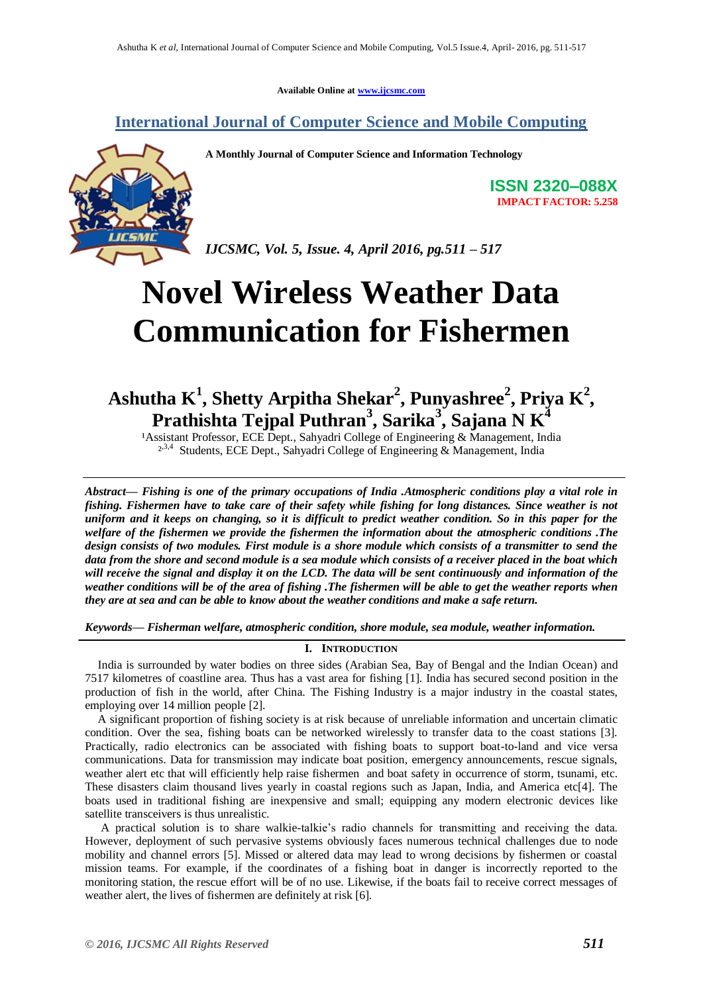**Available Online at [www.ijcsmc.com](http://www.ijcsmc.com/)**

**International Journal of Computer Science and Mobile Computing**



**A Monthly Journal of Computer Science and Information Technology**

**ISSN 2320–088X IMPACT FACTOR: 5.258**

*IJCSMC, Vol. 5, Issue. 4, April 2016, pg.511 – 517*

# **Novel Wireless Weather Data Communication for Fishermen**

# **Ashutha K<sup>1</sup> , Shetty Arpitha Shekar<sup>2</sup> , Punyashree<sup>2</sup> , Priya K 2 , Prathishta Tejpal Puthran<sup>3</sup> , Sarika<sup>3</sup> , Sajana N K<sup>4</sup>**

<sup>1</sup> Assistant Professor, ECE Dept., Sahyadri College of Engineering & Management, India <sup>2,3,4</sup> Students, ECE Dept., Sahyadri College of Engineering & Management, India

*Abstract— Fishing is one of the primary occupations of India .Atmospheric conditions play a vital role in fishing. Fishermen have to take care of their safety while fishing for long distances. Since weather is not uniform and it keeps on changing, so it is difficult to predict weather condition. So in this paper for the welfare of the fishermen we provide the fishermen the information about the atmospheric conditions .The design consists of two modules. First module is a shore module which consists of a transmitter to send the data from the shore and second module is a sea module which consists of a receiver placed in the boat which will receive the signal and display it on the LCD. The data will be sent continuously and information of the weather conditions will be of the area of fishing .The fishermen will be able to get the weather reports when they are at sea and can be able to know about the weather conditions and make a safe return.*

*Keywords— Fisherman welfare, atmospheric condition, shore module, sea module, weather information.*

# **I. INTRODUCTION**

India is surrounded by water bodies on three sides (Arabian Sea, Bay of Bengal and the Indian Ocean) and 7517 kilometres of coastline area. Thus has a vast area for fishing [1]. India has secured second position in the production of fish in the world, after China. The Fishing Industry is a major industry in the coastal states, employing over 14 million people [2].

A significant proportion of fishing society is at risk because of unreliable information and uncertain climatic condition. Over the sea, fishing boats can be networked wirelessly to transfer data to the coast stations [3]. Practically, radio electronics can be associated with fishing boats to support boat-to-land and vice versa communications. Data for transmission may indicate boat position, emergency announcements, rescue signals, weather alert etc that will efficiently help raise fishermen and boat safety in occurrence of storm, tsunami, etc. These disasters claim thousand lives yearly in coastal regions such as Japan, India, and America etc[4]. The boats used in traditional fishing are inexpensive and small; equipping any modern electronic devices like satellite transceivers is thus unrealistic.

A practical solution is to share walkie-talkie"s radio channels for transmitting and receiving the data. However, deployment of such pervasive systems obviously faces numerous technical challenges due to node mobility and channel errors [5]. Missed or altered data may lead to wrong decisions by fishermen or coastal mission teams. For example, if the coordinates of a fishing boat in danger is incorrectly reported to the monitoring station, the rescue effort will be of no use. Likewise, if the boats fail to receive correct messages of weather alert, the lives of fishermen are definitely at risk [6].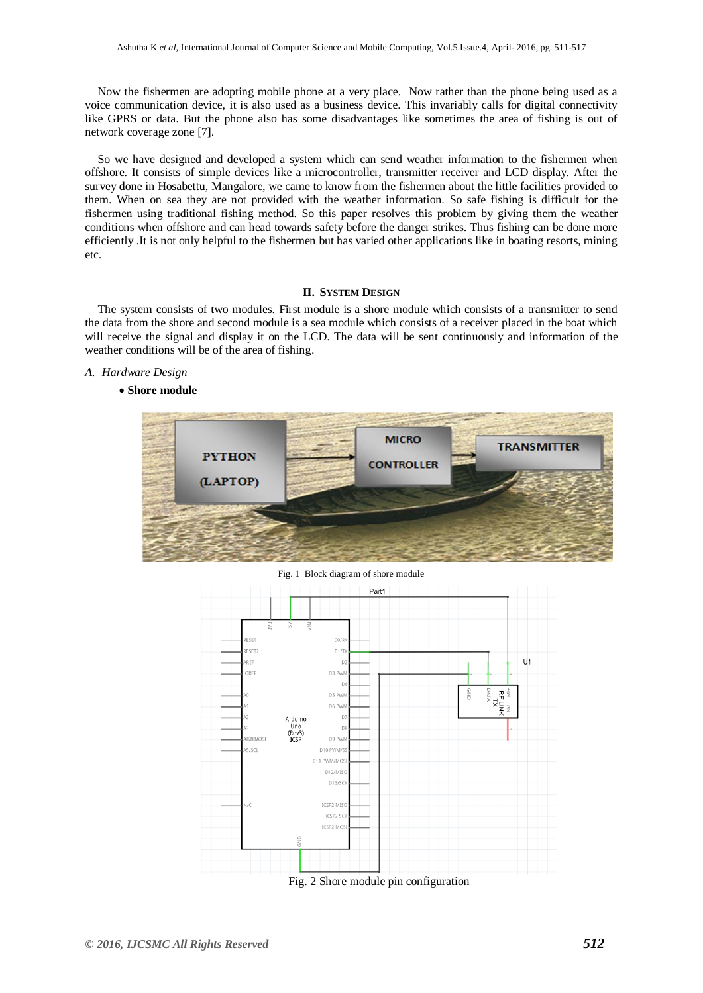Now the fishermen are adopting mobile phone at a very place. Now rather than the phone being used as a voice communication device, it is also used as a business device. This invariably calls for digital connectivity like GPRS or data. But the phone also has some disadvantages like sometimes the area of fishing is out of network coverage zone [7].

So we have designed and developed a system which can send weather information to the fishermen when offshore. It consists of simple devices like a microcontroller, transmitter receiver and LCD display. After the survey done in Hosabettu, Mangalore, we came to know from the fishermen about the little facilities provided to them. When on sea they are not provided with the weather information. So safe fishing is difficult for the fishermen using traditional fishing method. So this paper resolves this problem by giving them the weather conditions when offshore and can head towards safety before the danger strikes. Thus fishing can be done more efficiently .It is not only helpful to the fishermen but has varied other applications like in boating resorts, mining etc.

#### **II. SYSTEM DESIGN**

The system consists of two modules. First module is a shore module which consists of a transmitter to send the data from the shore and second module is a sea module which consists of a receiver placed in the boat which will receive the signal and display it on the LCD. The data will be sent continuously and information of the weather conditions will be of the area of fishing.

## *A. Hardware Design*

#### **Shore module**



Fig. 1 Block diagram of shore module

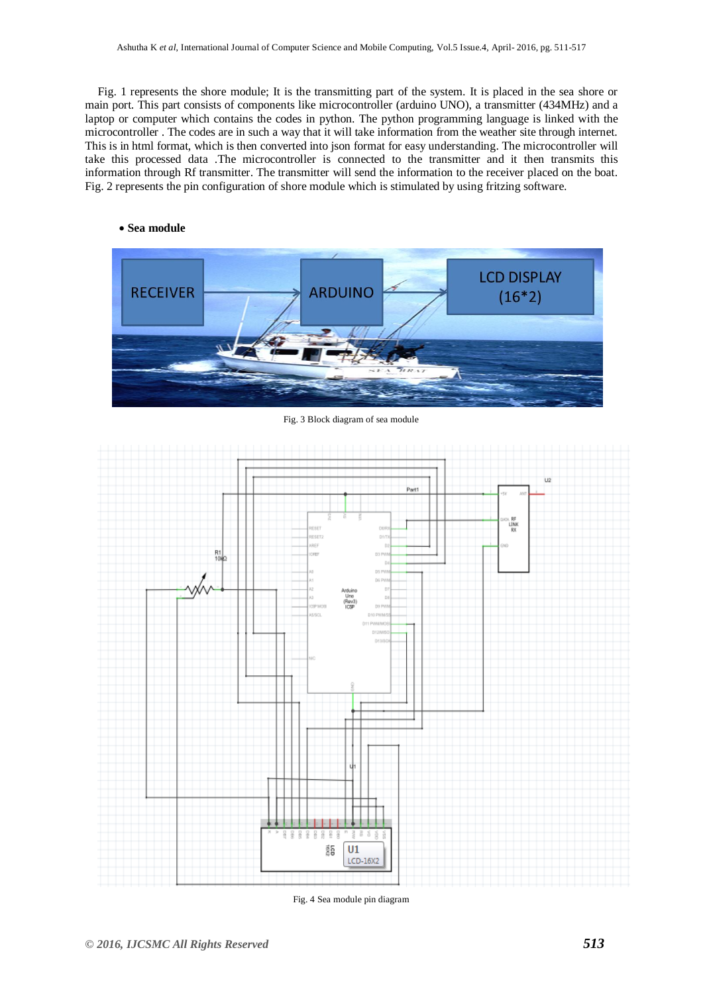Fig. 1 represents the shore module; It is the transmitting part of the system. It is placed in the sea shore or main port. This part consists of components like microcontroller (arduino UNO), a transmitter (434MHz) and a laptop or computer which contains the codes in python. The python programming language is linked with the microcontroller . The codes are in such a way that it will take information from the weather site through internet. This is in html format, which is then converted into json format for easy understanding. The microcontroller will take this processed data .The microcontroller is connected to the transmitter and it then transmits this information through Rf transmitter. The transmitter will send the information to the receiver placed on the boat. Fig. 2 represents the pin configuration of shore module which is stimulated by using fritzing software.



Fig. 3 Block diagram of sea module



Fig. 4 Sea module pin diagram

**Sea module**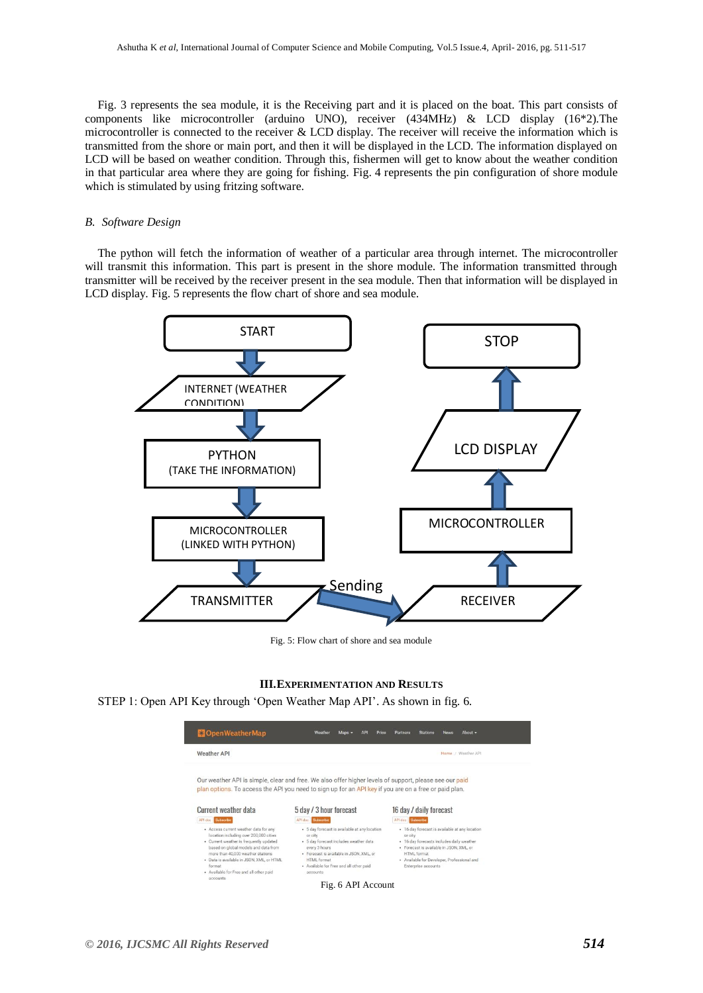Fig. 3 represents the sea module, it is the Receiving part and it is placed on the boat. This part consists of components like microcontroller (arduino UNO), receiver (434MHz) & LCD display (16\*2).The microcontroller is connected to the receiver & LCD display. The receiver will receive the information which is transmitted from the shore or main port, and then it will be displayed in the LCD. The information displayed on LCD will be based on weather condition. Through this, fishermen will get to know about the weather condition in that particular area where they are going for fishing. Fig. 4 represents the pin configuration of shore module which is stimulated by using fritzing software.

#### *B. Software Design*

The python will fetch the information of weather of a particular area through internet. The microcontroller will transmit this information. This part is present in the shore module. The information transmitted through transmitter will be received by the receiver present in the sea module. Then that information will be displayed in LCD display. Fig. 5 represents the flow chart of shore and sea module.



Fig. 5: Flow chart of shore and sea module

#### **III.EXPERIMENTATION AND RESULTS**

STEP 1: Open API Key through 'Open Weather Map API'. As shown in fig. 6.

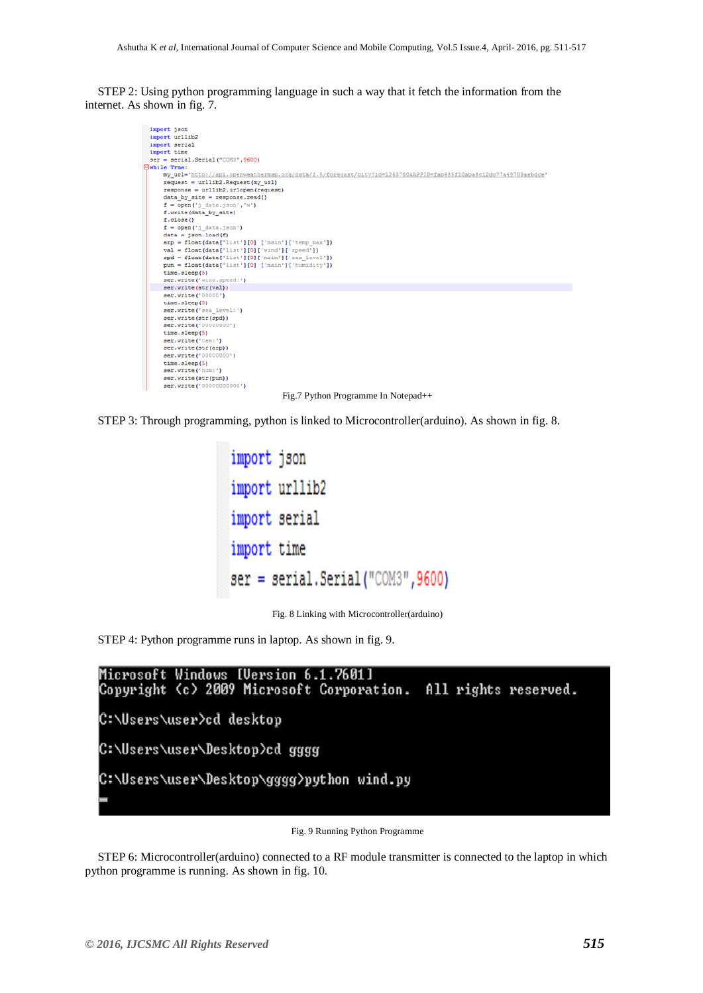STEP 2: Using python programming language in such a way that it fetch the information from the internet. As shown in fig. 7.



Fig.7 Python Programme In Notepad++



```
import json
import urllib2
import serial
import time
\texttt{ser} = \texttt{serial}.\texttt{Serial}("COM3", 9600)
```
Fig. 8 Linking with Microcontroller(arduino)

STEP 4: Python programme runs in laptop. As shown in fig. 9.



Fig. 9 Running Python Programme

STEP 6: Microcontroller(arduino) connected to a RF module transmitter is connected to the laptop in which python programme is running. As shown in fig. 10.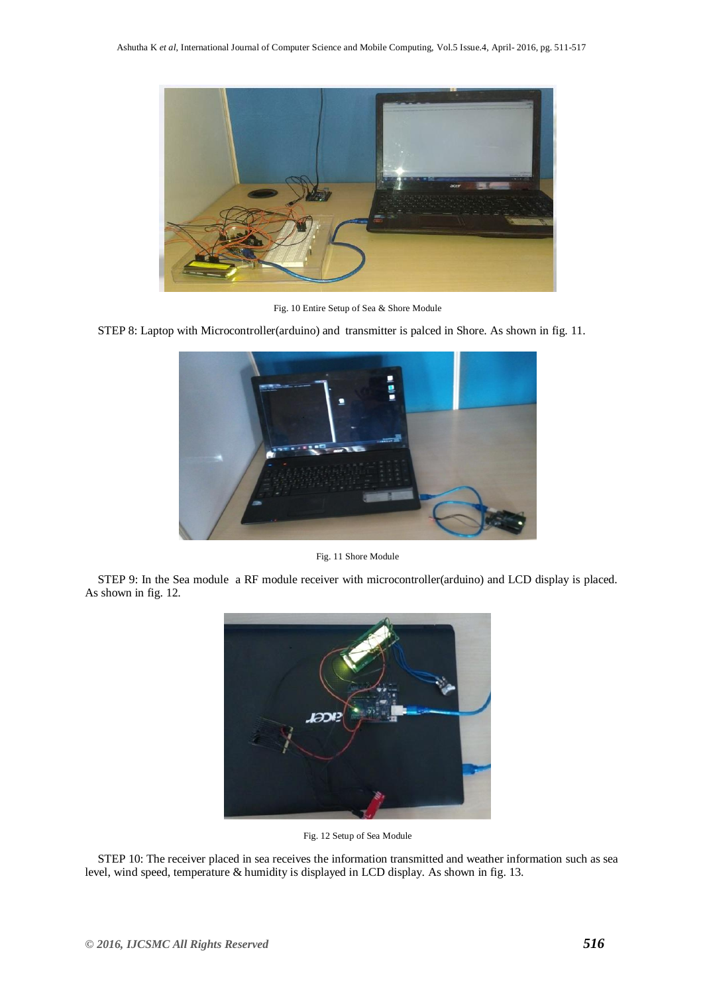

Fig. 10 Entire Setup of Sea & Shore Module

STEP 8: Laptop with Microcontroller(arduino) and transmitter is palced in Shore. As shown in fig. 11.



Fig. 11 Shore Module

STEP 9: In the Sea module a RF module receiver with microcontroller(arduino) and LCD display is placed. As shown in fig. 12.



Fig. 12 Setup of Sea Module

STEP 10: The receiver placed in sea receives the information transmitted and weather information such as sea level, wind speed, temperature & humidity is displayed in LCD display. As shown in fig. 13.